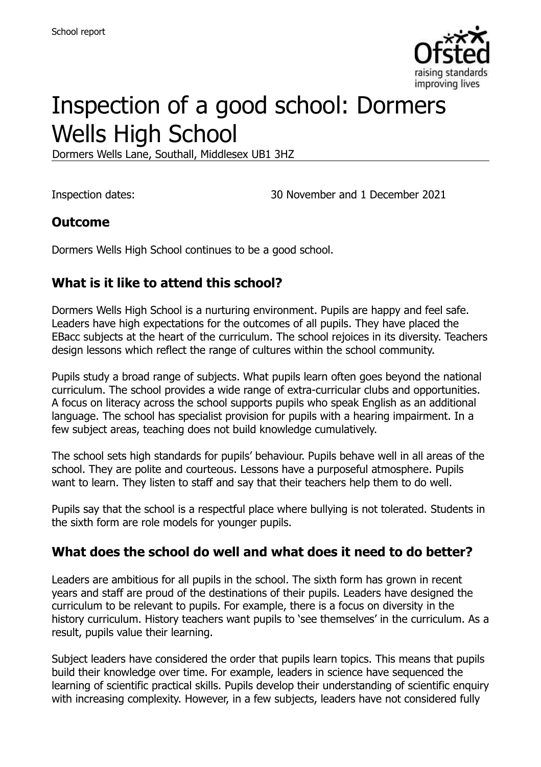

# Inspection of a good school: Dormers Wells High School

Dormers Wells Lane, Southall, Middlesex UB1 3HZ

Inspection dates: 30 November and 1 December 2021

## **Outcome**

Dormers Wells High School continues to be a good school.

# **What is it like to attend this school?**

Dormers Wells High School is a nurturing environment. Pupils are happy and feel safe. Leaders have high expectations for the outcomes of all pupils. They have placed the EBacc subjects at the heart of the curriculum. The school rejoices in its diversity. Teachers design lessons which reflect the range of cultures within the school community.

Pupils study a broad range of subjects. What pupils learn often goes beyond the national curriculum. The school provides a wide range of extra-curricular clubs and opportunities. A focus on literacy across the school supports pupils who speak English as an additional language. The school has specialist provision for pupils with a hearing impairment. In a few subject areas, teaching does not build knowledge cumulatively.

The school sets high standards for pupils' behaviour. Pupils behave well in all areas of the school. They are polite and courteous. Lessons have a purposeful atmosphere. Pupils want to learn. They listen to staff and say that their teachers help them to do well.

Pupils say that the school is a respectful place where bullying is not tolerated. Students in the sixth form are role models for younger pupils.

# **What does the school do well and what does it need to do better?**

Leaders are ambitious for all pupils in the school. The sixth form has grown in recent years and staff are proud of the destinations of their pupils. Leaders have designed the curriculum to be relevant to pupils. For example, there is a focus on diversity in the history curriculum. History teachers want pupils to 'see themselves' in the curriculum. As a result, pupils value their learning.

Subject leaders have considered the order that pupils learn topics. This means that pupils build their knowledge over time. For example, leaders in science have sequenced the learning of scientific practical skills. Pupils develop their understanding of scientific enquiry with increasing complexity. However, in a few subjects, leaders have not considered fully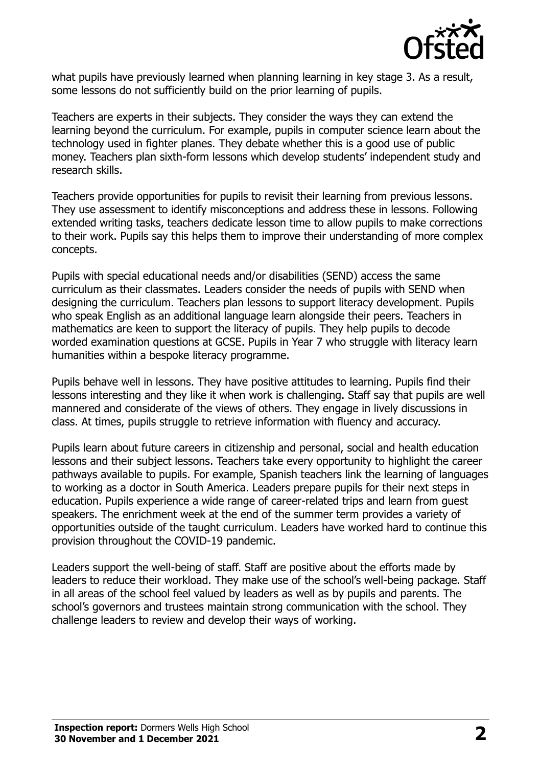

what pupils have previously learned when planning learning in key stage 3. As a result, some lessons do not sufficiently build on the prior learning of pupils.

Teachers are experts in their subjects. They consider the ways they can extend the learning beyond the curriculum. For example, pupils in computer science learn about the technology used in fighter planes. They debate whether this is a good use of public money. Teachers plan sixth-form lessons which develop students' independent study and research skills.

Teachers provide opportunities for pupils to revisit their learning from previous lessons. They use assessment to identify misconceptions and address these in lessons. Following extended writing tasks, teachers dedicate lesson time to allow pupils to make corrections to their work. Pupils say this helps them to improve their understanding of more complex concepts.

Pupils with special educational needs and/or disabilities (SEND) access the same curriculum as their classmates. Leaders consider the needs of pupils with SEND when designing the curriculum. Teachers plan lessons to support literacy development. Pupils who speak English as an additional language learn alongside their peers. Teachers in mathematics are keen to support the literacy of pupils. They help pupils to decode worded examination questions at GCSE. Pupils in Year 7 who struggle with literacy learn humanities within a bespoke literacy programme.

Pupils behave well in lessons. They have positive attitudes to learning. Pupils find their lessons interesting and they like it when work is challenging. Staff say that pupils are well mannered and considerate of the views of others. They engage in lively discussions in class. At times, pupils struggle to retrieve information with fluency and accuracy.

Pupils learn about future careers in citizenship and personal, social and health education lessons and their subject lessons. Teachers take every opportunity to highlight the career pathways available to pupils. For example, Spanish teachers link the learning of languages to working as a doctor in South America. Leaders prepare pupils for their next steps in education. Pupils experience a wide range of career-related trips and learn from guest speakers. The enrichment week at the end of the summer term provides a variety of opportunities outside of the taught curriculum. Leaders have worked hard to continue this provision throughout the COVID-19 pandemic.

Leaders support the well-being of staff. Staff are positive about the efforts made by leaders to reduce their workload. They make use of the school's well-being package. Staff in all areas of the school feel valued by leaders as well as by pupils and parents. The school's governors and trustees maintain strong communication with the school. They challenge leaders to review and develop their ways of working.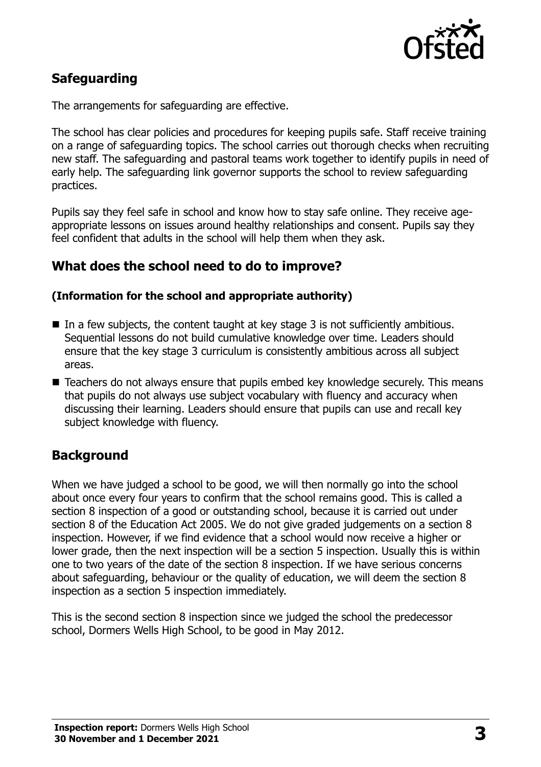

# **Safeguarding**

The arrangements for safeguarding are effective.

The school has clear policies and procedures for keeping pupils safe. Staff receive training on a range of safeguarding topics. The school carries out thorough checks when recruiting new staff. The safeguarding and pastoral teams work together to identify pupils in need of early help. The safeguarding link governor supports the school to review safeguarding practices.

Pupils say they feel safe in school and know how to stay safe online. They receive ageappropriate lessons on issues around healthy relationships and consent. Pupils say they feel confident that adults in the school will help them when they ask.

#### **What does the school need to do to improve?**

#### **(Information for the school and appropriate authority)**

- In a few subjects, the content taught at key stage 3 is not sufficiently ambitious. Sequential lessons do not build cumulative knowledge over time. Leaders should ensure that the key stage 3 curriculum is consistently ambitious across all subject areas.
- Teachers do not always ensure that pupils embed key knowledge securely. This means that pupils do not always use subject vocabulary with fluency and accuracy when discussing their learning. Leaders should ensure that pupils can use and recall key subject knowledge with fluency.

#### **Background**

When we have judged a school to be good, we will then normally go into the school about once every four years to confirm that the school remains good. This is called a section 8 inspection of a good or outstanding school, because it is carried out under section 8 of the Education Act 2005. We do not give graded judgements on a section 8 inspection. However, if we find evidence that a school would now receive a higher or lower grade, then the next inspection will be a section 5 inspection. Usually this is within one to two years of the date of the section 8 inspection. If we have serious concerns about safeguarding, behaviour or the quality of education, we will deem the section 8 inspection as a section 5 inspection immediately.

This is the second section 8 inspection since we judged the school the predecessor school, Dormers Wells High School, to be good in May 2012.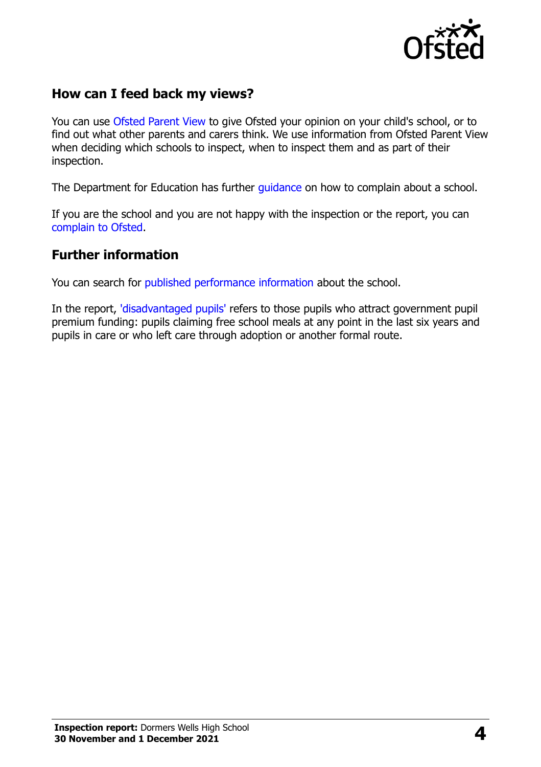

## **How can I feed back my views?**

You can use [Ofsted Parent View](https://parentview.ofsted.gov.uk/) to give Ofsted your opinion on your child's school, or to find out what other parents and carers think. We use information from Ofsted Parent View when deciding which schools to inspect, when to inspect them and as part of their inspection.

The Department for Education has further quidance on how to complain about a school.

If you are the school and you are not happy with the inspection or the report, you can [complain to Ofsted.](https://www.gov.uk/complain-ofsted-report)

#### **Further information**

You can search for [published performance information](http://www.compare-school-performance.service.gov.uk/) about the school.

In the report, ['disadvantaged pupils'](http://www.gov.uk/guidance/pupil-premium-information-for-schools-and-alternative-provision-settings) refers to those pupils who attract government pupil premium funding: pupils claiming free school meals at any point in the last six years and pupils in care or who left care through adoption or another formal route.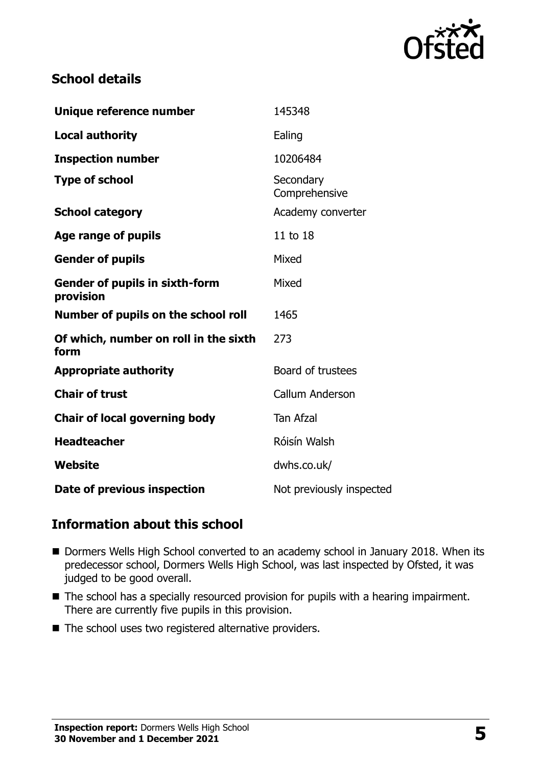

## **School details**

| Unique reference number                            | 145348                     |
|----------------------------------------------------|----------------------------|
| <b>Local authority</b>                             | Ealing                     |
| <b>Inspection number</b>                           | 10206484                   |
| <b>Type of school</b>                              | Secondary<br>Comprehensive |
| <b>School category</b>                             | Academy converter          |
| Age range of pupils                                | 11 to 18                   |
| <b>Gender of pupils</b>                            | Mixed                      |
| <b>Gender of pupils in sixth-form</b><br>provision | Mixed                      |
| Number of pupils on the school roll                | 1465                       |
| Of which, number on roll in the sixth<br>form      | 273                        |
| <b>Appropriate authority</b>                       | Board of trustees          |
| <b>Chair of trust</b>                              | Callum Anderson            |
| Chair of local governing body                      | <b>Tan Afzal</b>           |
| <b>Headteacher</b>                                 | Róisín Walsh               |
| <b>Website</b>                                     | dwhs.co.uk/                |
| Date of previous inspection                        | Not previously inspected   |

# **Information about this school**

- Dormers Wells High School converted to an academy school in January 2018. When its predecessor school, Dormers Wells High School, was last inspected by Ofsted, it was judged to be good overall.
- The school has a specially resourced provision for pupils with a hearing impairment. There are currently five pupils in this provision.
- $\blacksquare$  The school uses two registered alternative providers.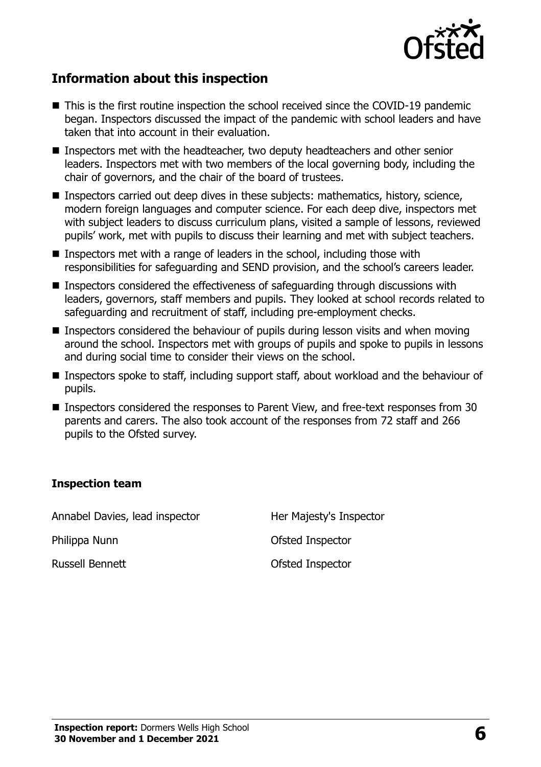

## **Information about this inspection**

- This is the first routine inspection the school received since the COVID-19 pandemic began. Inspectors discussed the impact of the pandemic with school leaders and have taken that into account in their evaluation.
- Inspectors met with the headteacher, two deputy headteachers and other senior leaders. Inspectors met with two members of the local governing body, including the chair of governors, and the chair of the board of trustees.
- Inspectors carried out deep dives in these subjects: mathematics, history, science, modern foreign languages and computer science. For each deep dive, inspectors met with subject leaders to discuss curriculum plans, visited a sample of lessons, reviewed pupils' work, met with pupils to discuss their learning and met with subject teachers.
- Inspectors met with a range of leaders in the school, including those with responsibilities for safeguarding and SEND provision, and the school's careers leader.
- Inspectors considered the effectiveness of safeguarding through discussions with leaders, governors, staff members and pupils. They looked at school records related to safeguarding and recruitment of staff, including pre-employment checks.
- **Inspectors considered the behaviour of pupils during lesson visits and when moving** around the school. Inspectors met with groups of pupils and spoke to pupils in lessons and during social time to consider their views on the school.
- Inspectors spoke to staff, including support staff, about workload and the behaviour of pupils.
- Inspectors considered the responses to Parent View, and free-text responses from 30 parents and carers. The also took account of the responses from 72 staff and 266 pupils to the Ofsted survey.

#### **Inspection team**

Annabel Davies, lead inspector Her Majesty's Inspector Philippa Nunn **Disk Communist Communist Communist Communist Communist Communist Communist Communist Communist Communist Communist Communist Communist Communist Communist Communist Communist Communist Communist Communist Co** Russell Bennett **Calculation Controller Controller Controller Controller Controller Controller Controller Controller**